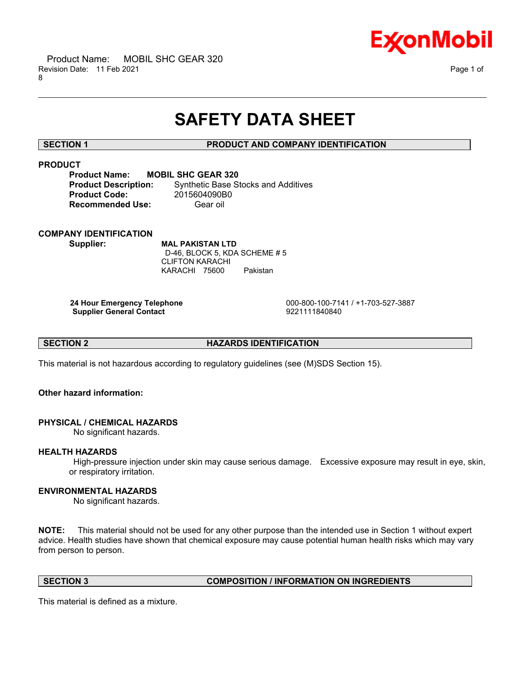

# **SAFETY DATA SHEET**

\_\_\_\_\_\_\_\_\_\_\_\_\_\_\_\_\_\_\_\_\_\_\_\_\_\_\_\_\_\_\_\_\_\_\_\_\_\_\_\_\_\_\_\_\_\_\_\_\_\_\_\_\_\_\_\_\_\_\_\_\_\_\_\_\_\_\_\_\_\_\_\_\_\_\_\_\_\_\_\_\_\_\_\_\_\_\_\_\_\_\_\_\_\_\_\_\_\_\_\_\_\_\_\_\_\_\_\_\_\_\_\_\_\_\_\_\_\_

# **SECTION 1 PRODUCT AND COMPANY IDENTIFICATION**

# **PRODUCT**

**Product Name: MOBIL SHC GEAR 320 Product Code:** 2015604090B0 **Recommended Use:** Gear oil

**Product Description:** Synthetic Base Stocks and Additives

# **COMPANY IDENTIFICATION**

**Supplier: MAL PAKISTAN LTD** D-46, BLOCK 5, KDA SCHEME # 5 CLIFTON KARACHI KARACHI 75600 Pakistan

**Supplier General Contact** 

 **24 Hour Emergency Telephone** 000-800-100-7141 / +1-703-527-3887

**SECTION 2 HAZARDS IDENTIFICATION** 

This material is not hazardous according to regulatory guidelines (see (M)SDS Section 15).

# **Other hazard information:**

# **PHYSICAL / CHEMICAL HAZARDS**

No significant hazards.

## **HEALTH HAZARDS**

 High-pressure injection under skin may cause serious damage. Excessive exposure may result in eye, skin, or respiratory irritation.

# **ENVIRONMENTAL HAZARDS**

No significant hazards.

**NOTE:** This material should not be used for any other purpose than the intended use in Section 1 without expert advice. Health studies have shown that chemical exposure may cause potential human health risks which may vary from person to person.

### **SECTION 3 COMPOSITION / INFORMATION ON INGREDIENTS**

This material is defined as a mixture.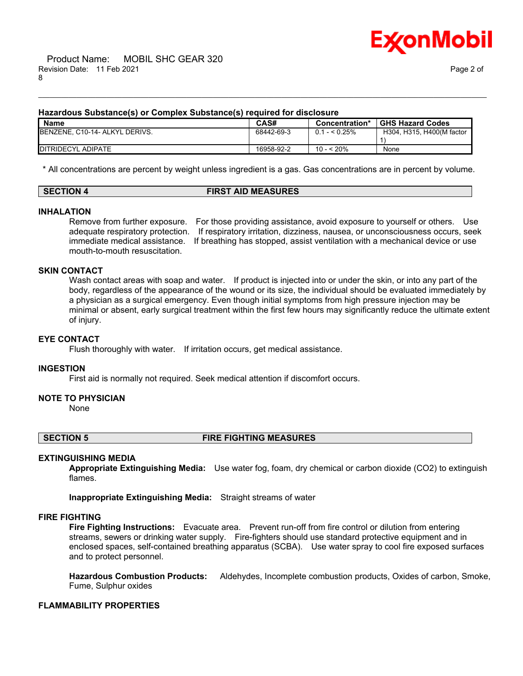

### **Hazardous Substance(s) or Complex Substance(s) required for disclosure**

| <b>Name</b>                    | <b>CAS#</b> | Concentration*        | <b>GHS Hazard Codes</b>   |
|--------------------------------|-------------|-----------------------|---------------------------|
| BENZENE, C10-14- ALKYL DERIVS. | 68442-69-3  | $0.1 - 5.25\%$        | H304, H315, H400(M factor |
|                                |             |                       |                           |
| <b>IDITRIDECYL ADIPATE</b>     | 16958-92-2  | $\leq 20\%$<br>$10 -$ | None                      |

\_\_\_\_\_\_\_\_\_\_\_\_\_\_\_\_\_\_\_\_\_\_\_\_\_\_\_\_\_\_\_\_\_\_\_\_\_\_\_\_\_\_\_\_\_\_\_\_\_\_\_\_\_\_\_\_\_\_\_\_\_\_\_\_\_\_\_\_\_\_\_\_\_\_\_\_\_\_\_\_\_\_\_\_\_\_\_\_\_\_\_\_\_\_\_\_\_\_\_\_\_\_\_\_\_\_\_\_\_\_\_\_\_\_\_\_\_\_

\* All concentrations are percent by weight unless ingredient is a gas. Gas concentrations are in percent by volume.

### **SECTION 4 FIRST AID MEASURES**

### **INHALATION**

Remove from further exposure. For those providing assistance, avoid exposure to yourself or others. Use adequate respiratory protection. If respiratory irritation, dizziness, nausea, or unconsciousness occurs, seek immediate medical assistance. If breathing has stopped, assist ventilation with a mechanical device or use mouth-to-mouth resuscitation.

#### **SKIN CONTACT**

Wash contact areas with soap and water. If product is injected into or under the skin, or into any part of the body, regardless of the appearance of the wound or its size, the individual should be evaluated immediately by a physician as a surgical emergency. Even though initial symptoms from high pressure injection may be minimal or absent, early surgical treatment within the first few hours may significantly reduce the ultimate extent of injury.

#### **EYE CONTACT**

Flush thoroughly with water. If irritation occurs, get medical assistance.

#### **INGESTION**

First aid is normally not required. Seek medical attention if discomfort occurs.

#### **NOTE TO PHYSICIAN**

None

### **SECTION 5 FIRE FIGHTING MEASURES**

#### **EXTINGUISHING MEDIA**

**Appropriate Extinguishing Media:** Use water fog, foam, dry chemical or carbon dioxide (CO2) to extinguish flames.

**Inappropriate Extinguishing Media:** Straight streams of water

#### **FIRE FIGHTING**

**Fire Fighting Instructions:** Evacuate area. Prevent run-off from fire control or dilution from entering streams, sewers or drinking water supply. Fire-fighters should use standard protective equipment and in enclosed spaces, self-contained breathing apparatus (SCBA). Use water spray to cool fire exposed surfaces and to protect personnel.

**Hazardous Combustion Products:** Aldehydes, Incomplete combustion products, Oxides of carbon, Smoke, Fume, Sulphur oxides

### **FLAMMABILITY PROPERTIES**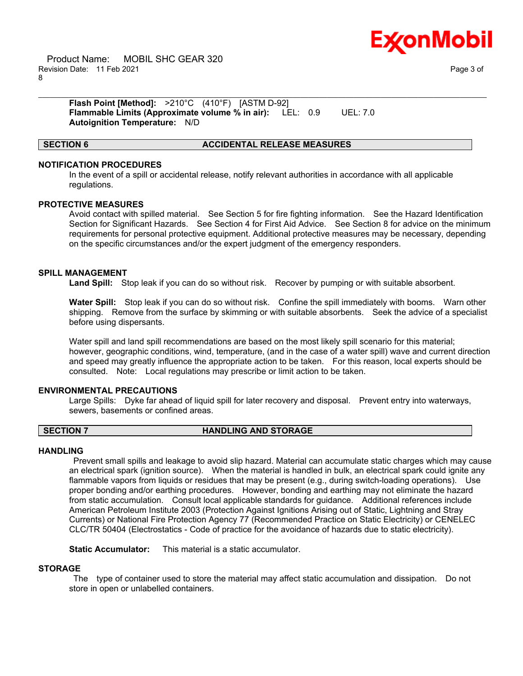

 Product Name: MOBIL SHC GEAR 320 Revision Date: 11 Feb 2021 Page 3 of 8

**Flash Point [Method]:** >210°C (410°F) [ASTM D-92] **Flammable Limits (Approximate volume % in air):** LEL: 0.9 UEL: 7.0 **Autoignition Temperature:** N/D

#### **SECTION 6 ACCIDENTAL RELEASE MEASURES**

### **NOTIFICATION PROCEDURES**

In the event of a spill or accidental release, notify relevant authorities in accordance with all applicable regulations.

\_\_\_\_\_\_\_\_\_\_\_\_\_\_\_\_\_\_\_\_\_\_\_\_\_\_\_\_\_\_\_\_\_\_\_\_\_\_\_\_\_\_\_\_\_\_\_\_\_\_\_\_\_\_\_\_\_\_\_\_\_\_\_\_\_\_\_\_\_\_\_\_\_\_\_\_\_\_\_\_\_\_\_\_\_\_\_\_\_\_\_\_\_\_\_\_\_\_\_\_\_\_\_\_\_\_\_\_\_\_\_\_\_\_\_\_\_\_

#### **PROTECTIVE MEASURES**

Avoid contact with spilled material. See Section 5 for fire fighting information. See the Hazard Identification Section for Significant Hazards. See Section 4 for First Aid Advice. See Section 8 for advice on the minimum requirements for personal protective equipment. Additional protective measures may be necessary, depending on the specific circumstances and/or the expert judgment of the emergency responders.

#### **SPILL MANAGEMENT**

**Land Spill:** Stop leak if you can do so without risk. Recover by pumping or with suitable absorbent.

**Water Spill:** Stop leak if you can do so without risk. Confine the spill immediately with booms. Warn other shipping. Remove from the surface by skimming or with suitable absorbents. Seek the advice of a specialist before using dispersants.

Water spill and land spill recommendations are based on the most likely spill scenario for this material; however, geographic conditions, wind, temperature, (and in the case of a water spill) wave and current direction and speed may greatly influence the appropriate action to be taken. For this reason, local experts should be consulted. Note: Local regulations may prescribe or limit action to be taken.

#### **ENVIRONMENTAL PRECAUTIONS**

Large Spills: Dyke far ahead of liquid spill for later recovery and disposal. Prevent entry into waterways, sewers, basements or confined areas.

#### **SECTION 7 HANDLING AND STORAGE**

#### **HANDLING**

 Prevent small spills and leakage to avoid slip hazard. Material can accumulate static charges which may cause an electrical spark (ignition source). When the material is handled in bulk, an electrical spark could ignite any flammable vapors from liquids or residues that may be present (e.g., during switch-loading operations). Use proper bonding and/or earthing procedures. However, bonding and earthing may not eliminate the hazard from static accumulation. Consult local applicable standards for guidance. Additional references include American Petroleum Institute 2003 (Protection Against Ignitions Arising out of Static, Lightning and Stray Currents) or National Fire Protection Agency 77 (Recommended Practice on Static Electricity) or CENELEC CLC/TR 50404 (Electrostatics - Code of practice for the avoidance of hazards due to static electricity).

**Static Accumulator:** This material is a static accumulator.

### **STORAGE**

 The type of container used to store the material may affect static accumulation and dissipation. Do not store in open or unlabelled containers.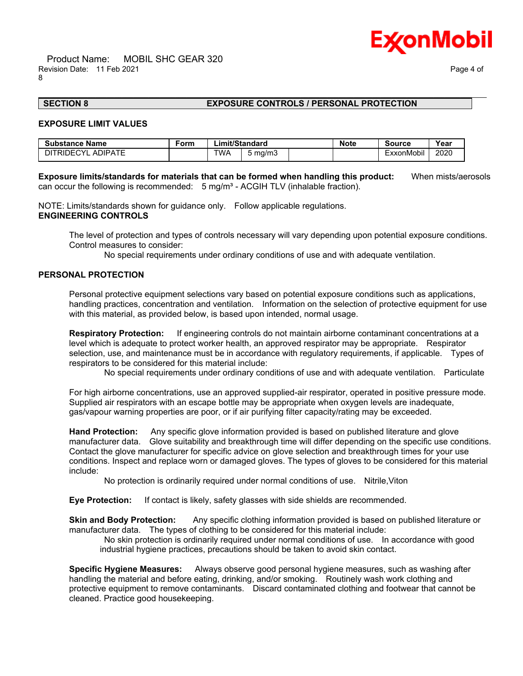

# **SECTION 8 EXPOSURE CONTROLS / PERSONAL PROTECTION**

### **EXPOSURE LIMIT VALUES**

| <b>Substance Name</b>             | Form | ∟imit/Standard |         | <b>Note</b> | Source | Year                   |      |
|-----------------------------------|------|----------------|---------|-------------|--------|------------------------|------|
| TRIDECYI<br><b>ADIPATE</b><br>דור |      | TWA            | 5 mg/m3 |             |        | $\cdots$<br>-xxonMobil | 2020 |

**Exposure limits/standards for materials that can be formed when handling this product:** When mists/aerosols can occur the following is recommended:  $5 \text{ mg/m}^3$  - ACGIH TLV (inhalable fraction).

\_\_\_\_\_\_\_\_\_\_\_\_\_\_\_\_\_\_\_\_\_\_\_\_\_\_\_\_\_\_\_\_\_\_\_\_\_\_\_\_\_\_\_\_\_\_\_\_\_\_\_\_\_\_\_\_\_\_\_\_\_\_\_\_\_\_\_\_\_\_\_\_\_\_\_\_\_\_\_\_\_\_\_\_\_\_\_\_\_\_\_\_\_\_\_\_\_\_\_\_\_\_\_\_\_\_\_\_\_\_\_\_\_\_\_\_\_\_

NOTE: Limits/standards shown for guidance only. Follow applicable regulations. **ENGINEERING CONTROLS**

The level of protection and types of controls necessary will vary depending upon potential exposure conditions. Control measures to consider:

No special requirements under ordinary conditions of use and with adequate ventilation.

#### **PERSONAL PROTECTION**

Personal protective equipment selections vary based on potential exposure conditions such as applications, handling practices, concentration and ventilation. Information on the selection of protective equipment for use with this material, as provided below, is based upon intended, normal usage.

**Respiratory Protection:** If engineering controls do not maintain airborne contaminant concentrations at a level which is adequate to protect worker health, an approved respirator may be appropriate. Respirator selection, use, and maintenance must be in accordance with regulatory requirements, if applicable. Types of respirators to be considered for this material include:

No special requirements under ordinary conditions of use and with adequate ventilation. Particulate

For high airborne concentrations, use an approved supplied-air respirator, operated in positive pressure mode. Supplied air respirators with an escape bottle may be appropriate when oxygen levels are inadequate, gas/vapour warning properties are poor, or if air purifying filter capacity/rating may be exceeded.

**Hand Protection:** Any specific glove information provided is based on published literature and glove manufacturer data. Glove suitability and breakthrough time will differ depending on the specific use conditions. Contact the glove manufacturer for specific advice on glove selection and breakthrough times for your use conditions. Inspect and replace worn or damaged gloves. The types of gloves to be considered for this material include:

No protection is ordinarily required under normal conditions of use. Nitrile,Viton

**Eye Protection:** If contact is likely, safety glasses with side shields are recommended.

**Skin and Body Protection:** Any specific clothing information provided is based on published literature or manufacturer data. The types of clothing to be considered for this material include:

 No skin protection is ordinarily required under normal conditions of use. In accordance with good industrial hygiene practices, precautions should be taken to avoid skin contact.

**Specific Hygiene Measures:** Always observe good personal hygiene measures, such as washing after handling the material and before eating, drinking, and/or smoking. Routinely wash work clothing and protective equipment to remove contaminants. Discard contaminated clothing and footwear that cannot be cleaned. Practice good housekeeping.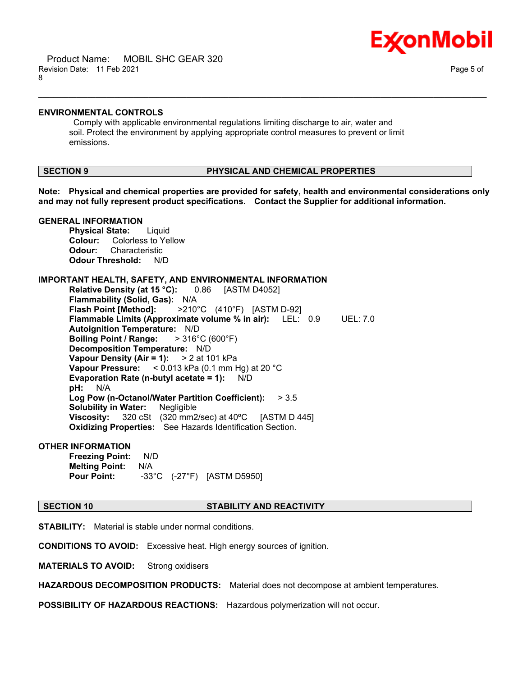

#### **ENVIRONMENTAL CONTROLS**

 Comply with applicable environmental regulations limiting discharge to air, water and soil. Protect the environment by applying appropriate control measures to prevent or limit emissions.

## **SECTION 9 PHYSICAL AND CHEMICAL PROPERTIES**

**Note: Physical and chemical properties are provided for safety, health and environmental considerations only and may not fully represent product specifications. Contact the Supplier for additional information.**

\_\_\_\_\_\_\_\_\_\_\_\_\_\_\_\_\_\_\_\_\_\_\_\_\_\_\_\_\_\_\_\_\_\_\_\_\_\_\_\_\_\_\_\_\_\_\_\_\_\_\_\_\_\_\_\_\_\_\_\_\_\_\_\_\_\_\_\_\_\_\_\_\_\_\_\_\_\_\_\_\_\_\_\_\_\_\_\_\_\_\_\_\_\_\_\_\_\_\_\_\_\_\_\_\_\_\_\_\_\_\_\_\_\_\_\_\_\_

# **GENERAL INFORMATION**

**Physical State:** Liquid **Colour:** Colorless to Yellow **Odour:** Characteristic **Odour Threshold:** N/D

#### **IMPORTANT HEALTH, SAFETY, AND ENVIRONMENTAL INFORMATION**

**Relative Density (at 15 °C):** 0.86 [ASTM D4052] **Flammability (Solid, Gas):** N/A **Flash Point [Method]:** >210°C (410°F) [ASTM D-92] **Flammable Limits (Approximate volume % in air):** LEL: 0.9 UEL: 7.0 **Autoignition Temperature:** N/D **Boiling Point / Range:** > 316°C (600°F) **Decomposition Temperature:** N/D **Vapour Density (Air = 1):** > 2 at 101 kPa **Vapour Pressure:** < 0.013 kPa (0.1 mm Hg) at 20 °C **Evaporation Rate (n-butyl acetate = 1):** N/D **pH:** N/A **Log Pow (n-Octanol/Water Partition Coefficient):** > 3.5 **Solubility in Water:** Negligible **Viscosity:** 320 cSt (320 mm2/sec) at 40ºC [ASTM D 445] **Oxidizing Properties:** See Hazards Identification Section.

# **OTHER INFORMATION**

**Freezing Point:** N/D **Melting Point:** N/A **Pour Point:** -33°C (-27°F) [ASTM D5950]

### **SECTION 10 STABILITY AND REACTIVITY**

**STABILITY:** Material is stable under normal conditions.

**CONDITIONS TO AVOID:** Excessive heat. High energy sources of ignition.

**MATERIALS TO AVOID:** Strong oxidisers

**HAZARDOUS DECOMPOSITION PRODUCTS:** Material does not decompose at ambient temperatures.

**POSSIBILITY OF HAZARDOUS REACTIONS:** Hazardous polymerization will not occur.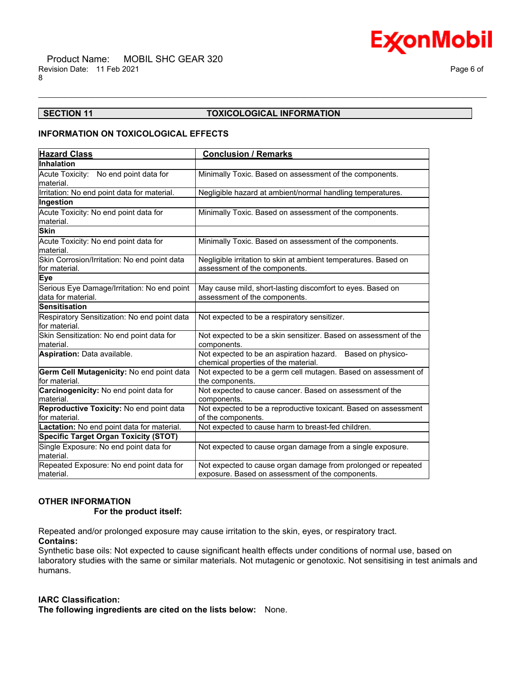

# **SECTION 11 TOXICOLOGICAL INFORMATION**

\_\_\_\_\_\_\_\_\_\_\_\_\_\_\_\_\_\_\_\_\_\_\_\_\_\_\_\_\_\_\_\_\_\_\_\_\_\_\_\_\_\_\_\_\_\_\_\_\_\_\_\_\_\_\_\_\_\_\_\_\_\_\_\_\_\_\_\_\_\_\_\_\_\_\_\_\_\_\_\_\_\_\_\_\_\_\_\_\_\_\_\_\_\_\_\_\_\_\_\_\_\_\_\_\_\_\_\_\_\_\_\_\_\_\_\_\_\_

### **INFORMATION ON TOXICOLOGICAL EFFECTS**

| <b>Hazard Class</b>                                               | <b>Conclusion / Remarks</b>                                                                                       |  |  |
|-------------------------------------------------------------------|-------------------------------------------------------------------------------------------------------------------|--|--|
| Inhalation                                                        |                                                                                                                   |  |  |
| Acute Toxicity: No end point data for                             | Minimally Toxic. Based on assessment of the components.                                                           |  |  |
| material.                                                         |                                                                                                                   |  |  |
| Irritation: No end point data for material.                       | Negligible hazard at ambient/normal handling temperatures.                                                        |  |  |
| Ingestion                                                         |                                                                                                                   |  |  |
| Acute Toxicity: No end point data for<br>lmaterial.               | Minimally Toxic. Based on assessment of the components.                                                           |  |  |
| <b>Skin</b>                                                       |                                                                                                                   |  |  |
| Acute Toxicity: No end point data for<br>material.                | Minimally Toxic. Based on assessment of the components.                                                           |  |  |
| Skin Corrosion/Irritation: No end point data<br>lfor material.    | Negligible irritation to skin at ambient temperatures. Based on<br>assessment of the components.                  |  |  |
| Eye                                                               |                                                                                                                   |  |  |
| Serious Eye Damage/Irritation: No end point<br>data for material. | May cause mild, short-lasting discomfort to eyes. Based on<br>assessment of the components.                       |  |  |
| <b>Sensitisation</b>                                              |                                                                                                                   |  |  |
| Respiratory Sensitization: No end point data<br>lfor material.    | Not expected to be a respiratory sensitizer.                                                                      |  |  |
| Skin Sensitization: No end point data for<br>lmaterial.           | Not expected to be a skin sensitizer. Based on assessment of the<br>components.                                   |  |  |
| <b>Aspiration: Data available.</b>                                | Not expected to be an aspiration hazard. Based on physico-<br>chemical properties of the material.                |  |  |
| Germ Cell Mutagenicity: No end point data<br>for material.        | Not expected to be a germ cell mutagen. Based on assessment of<br>the components.                                 |  |  |
| Carcinogenicity: No end point data for<br>material.               | Not expected to cause cancer. Based on assessment of the<br>components.                                           |  |  |
| Reproductive Toxicity: No end point data<br>lfor material.        | Not expected to be a reproductive toxicant. Based on assessment<br>of the components.                             |  |  |
| Lactation: No end point data for material.                        | Not expected to cause harm to breast-fed children.                                                                |  |  |
| <b>Specific Target Organ Toxicity (STOT)</b>                      |                                                                                                                   |  |  |
| Single Exposure: No end point data for<br>lmaterial.              | Not expected to cause organ damage from a single exposure.                                                        |  |  |
| Repeated Exposure: No end point data for<br>lmaterial.            | Not expected to cause organ damage from prolonged or repeated<br>exposure. Based on assessment of the components. |  |  |

#### **OTHER INFORMATION**

#### **For the product itself:**

Repeated and/or prolonged exposure may cause irritation to the skin, eyes, or respiratory tract.

# **Contains:**

Synthetic base oils: Not expected to cause significant health effects under conditions of normal use, based on laboratory studies with the same or similar materials. Not mutagenic or genotoxic. Not sensitising in test animals and humans.

#### **IARC Classification:**

**The following ingredients are cited on the lists below:** None.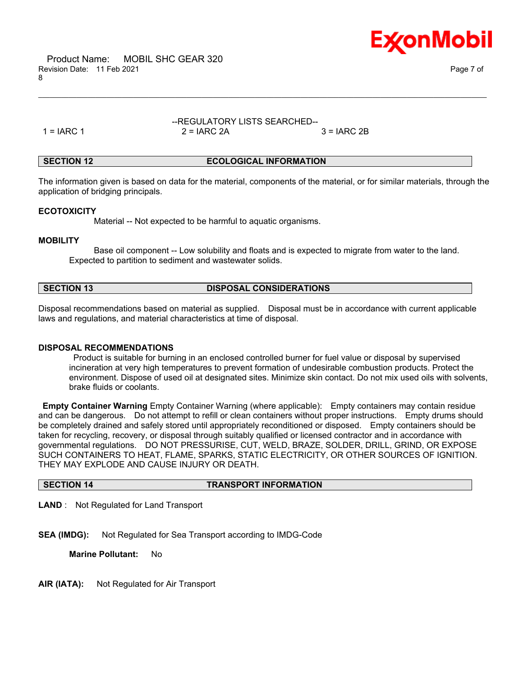



# --REGULATORY LISTS SEARCHED--  $1 = IARC 1$   $2 = IARC 2A$   $3 = IARC 2B$

\_\_\_\_\_\_\_\_\_\_\_\_\_\_\_\_\_\_\_\_\_\_\_\_\_\_\_\_\_\_\_\_\_\_\_\_\_\_\_\_\_\_\_\_\_\_\_\_\_\_\_\_\_\_\_\_\_\_\_\_\_\_\_\_\_\_\_\_\_\_\_\_\_\_\_\_\_\_\_\_\_\_\_\_\_\_\_\_\_\_\_\_\_\_\_\_\_\_\_\_\_\_\_\_\_\_\_\_\_\_\_\_\_\_\_\_\_\_

### **SECTION 12 ECOLOGICAL INFORMATION**

The information given is based on data for the material, components of the material, or for similar materials, through the application of bridging principals.

### **ECOTOXICITY**

Material -- Not expected to be harmful to aquatic organisms.

### **MOBILITY**

 Base oil component -- Low solubility and floats and is expected to migrate from water to the land. Expected to partition to sediment and wastewater solids.

#### **SECTION 13 DISPOSAL CONSIDERATIONS**

Disposal recommendations based on material as supplied. Disposal must be in accordance with current applicable laws and regulations, and material characteristics at time of disposal.

# **DISPOSAL RECOMMENDATIONS**

 Product is suitable for burning in an enclosed controlled burner for fuel value or disposal by supervised incineration at very high temperatures to prevent formation of undesirable combustion products. Protect the environment. Dispose of used oil at designated sites. Minimize skin contact. Do not mix used oils with solvents, brake fluids or coolants.

**Empty Container Warning** Empty Container Warning (where applicable): Empty containers may contain residue and can be dangerous. Do not attempt to refill or clean containers without proper instructions. Empty drums should be completely drained and safely stored until appropriately reconditioned or disposed. Empty containers should be taken for recycling, recovery, or disposal through suitably qualified or licensed contractor and in accordance with governmental regulations. DO NOT PRESSURISE, CUT, WELD, BRAZE, SOLDER, DRILL, GRIND, OR EXPOSE SUCH CONTAINERS TO HEAT, FLAME, SPARKS, STATIC ELECTRICITY, OR OTHER SOURCES OF IGNITION. THEY MAY EXPLODE AND CAUSE INJURY OR DEATH.

# **SECTION 14 TRANSPORT INFORMATION**

**LAND** : Not Regulated for Land Transport

**SEA (IMDG):** Not Regulated for Sea Transport according to IMDG-Code

**Marine Pollutant:** No

**AIR (IATA):** Not Regulated for Air Transport